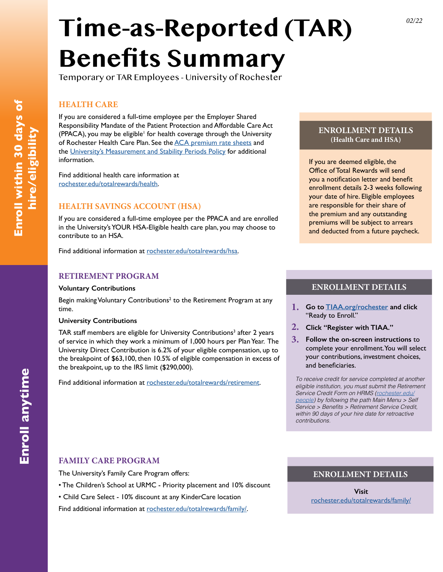# **Time-as-Reported (TAR) Benefits Summary**

Temporary or TAR Employees - University of Rochester

#### **HEALTH CARE**

If you are considered a full-time employee per the Employer Shared Responsibility Mandate of the Patient Protection and Affordable Care Act (PPACA), you may be eligible<sup>1</sup> for health coverage through the University of Rochester Health Care Plan. See the [ACA premium rate sheets](https://www.rochester.edu/human-resources/benefits/health-care/rates/health-care-plan-rates-employees-eligible-under-aca/) and the [University's Measurement and Stability Periods Policy](https://www.rochester.edu/human-resources/wp-content/uploads/2019/11/ACA_Guidelines.pdf) for additional information.

Find additional health care information at [rochester.edu/totalrewards/health](https://www.rochester.edu/human-resources/benefits/health-care/health-care-plans/).

## **HEALTH SAVINGS ACCOUNT (HSA)**

If you are considered a full-time employee per the PPACA and are enrolled in the University's YOUR HSA-Eligible health care plan, you may choose to contribute to an HSA.

Find additional information at [rochester.edu/totalrewards/h](https://www.rochester.edu/human-resources/benefits/health-care/health-savings-accounts/)sa.

#### **RETIREMENT PROGRAM**

#### **Voluntary Contributions**

Begin making Voluntary Contributions<sup>2</sup> to the Retirement Program at any time.

#### **University Contributions**

TAR staff members are eligible for University Contributions<sup>3</sup> after 2 years of service in which they work a minimum of 1,000 hours per Plan Year. The University Direct Contribution is 6.2% of your eligible compensation, up to the breakpoint of \$63,100, then 10.5% of eligible compensation in excess of the breakpoint, up to the IRS limit (\$290,000).

Find additional information at [rochester.edu/totalrewards/retirement.](https://www.rochester.edu/human-resources/benefits/retirement-plans/)

#### **ENROLLMENT DETAILS (Health Care and HSA)**

If you are deemed eligible, the Office of Total Rewards will send you a notification letter and benefit enrollment details 2-3 weeks following your date of hire. Eligible employees are responsible for their share of the premium and any outstanding premiums will be subject to arrears and deducted from a future paycheck.

#### **ENROLLMENT DETAILS**

- **1. Go to [TIAA.org/rochester](http://TIAA.org/Rochester) and click**  "Ready to Enroll."
- **2. Click "Register with TIAA."**
- **3. Follow the on-screen instructions** to complete your enrollment. You will select your contributions, investment choices, and beneficiaries.

*To receive credit for service completed at another eligible institution, you must submit the Retirement Service Credit Form on HRMS ([rochester.edu/](http://rochester.edu/people) [people\)](http://rochester.edu/people) by following the path Main Menu > Self*  Service > Benefits > Retirement Service Credit, *within 90 days of your hire date for retroactive contributions.*

#### **FAMILY CARE PROGRAM**

The University's Family Care Program offers:

- The Children's School at URMC Priority placement and 10% discount
- Child Care Select 10% discount at any KinderCare location

Find additional information at [rochester.edu/totalrewards/family/](https://www.rochester.edu/human-resources/benefits/programs-perks/family-care/).

#### **ENROLLMENT DETAILS**

**Visit**  [rochester.edu/totalrewards/family/](https://www.rochester.edu/human-resources/benefits/programs-perks/family-care/)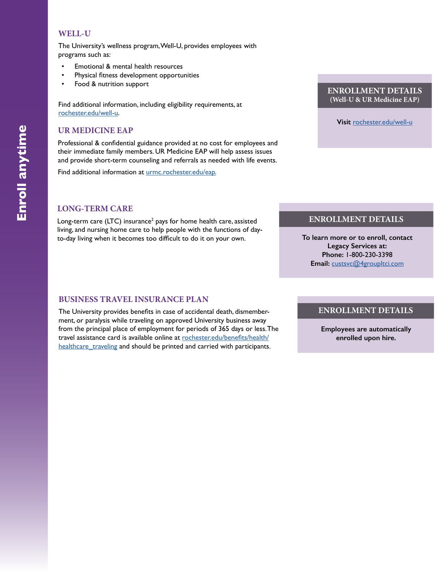#### **WELL-U**

The University's wellness program, Well-U, provides employees with programs such as:

- Emotional & mental health resources
- Physical fitness development opportunities
- Food & nutrition support

Find additional information, including eligibility requirements, at [rochester.edu/well-u](http://rochester.edu/well-u).

### **UR MEDICINE EAP**

Professional & confidential guidance provided at no cost for employees and their immediate family members. UR Medicine EAP will help assess issues and provide short-term counseling and referrals as needed with life events.

Find additional information at [urmc.rochester.edu/eap](https://www.urmc.rochester.edu/eap/services.aspx).

#### **LONG-TERM CARE**

Long-term care (LTC) insurance<sup>2</sup> pays for home health care, assisted living, and nursing home care to help people with the functions of dayto-day living when it becomes too difficult to do it on your own.

#### **BUSINESS TRAVEL INSURANCE PLAN**

The University provides benefits in case of accidental death, dismemberment, or paralysis while traveling on approved University business away from the principal place of employment for periods of 365 days or less. The travel assistance card is available online at [rochester.edu/benefits/health/](https://www.rochester.edu/human-resources/benefits/health-care/health-care-plans/) healthcare traveling and should be printed and carried with participants.

**ENROLLMENT DETAILS (Well-U & UR Medicine EAP)**

**Visit** [rochester.edu/well-u](https://www.rochester.edu/human-resources/benefits/well-u/)

#### **ENROLLMENT DETAILS**

**To learn more or to enroll, contact Legacy Services at: Phone:** 1-800-230-3398 **Email:** [custsvc@4groupltci.com](mailto:custsvc%404groupltci.com?subject=)

#### **ENROLLMENT DETAILS**

**Employees are automatically enrolled upon hire.**